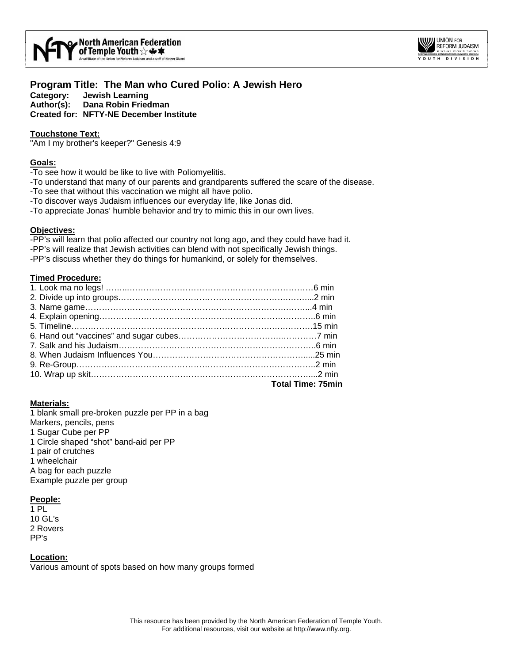



# **Program Title: The Man who Cured Polio: A Jewish Hero Category: Jewish Learning**

**Author(s): Dana Robin Friedman Created for: NFTY-NE December Institute** 

## **Touchstone Text:**

"Am I my brother's keeper?" Genesis 4:9

#### **Goals:**

-To see how it would be like to live with Poliomyelitis.

- -To understand that many of our parents and grandparents suffered the scare of the disease.
- -To see that without this vaccination we might all have polio.
- -To discover ways Judaism influences our everyday life, like Jonas did.

-To appreciate Jonas' humble behavior and try to mimic this in our own lives.

## **Objectives:**

-PP's will learn that polio affected our country not long ago, and they could have had it. -PP's will realize that Jewish activities can blend with not specifically Jewish things. -PP's discuss whether they do things for humankind, or solely for themselves.

## **Timed Procedure:**

| Total Time: 75min |
|-------------------|
|                   |
|                   |
|                   |
|                   |
|                   |
|                   |
|                   |
|                   |
|                   |
|                   |
|                   |

#### **Materials:**

1 blank small pre-broken puzzle per PP in a bag Markers, pencils, pens 1 Sugar Cube per PP 1 Circle shaped "shot" band-aid per PP 1 pair of crutches 1 wheelchair A bag for each puzzle Example puzzle per group

## **People:**

1 PL 10 GL's 2 Rovers PP's

#### **Location:**

Various amount of spots based on how many groups formed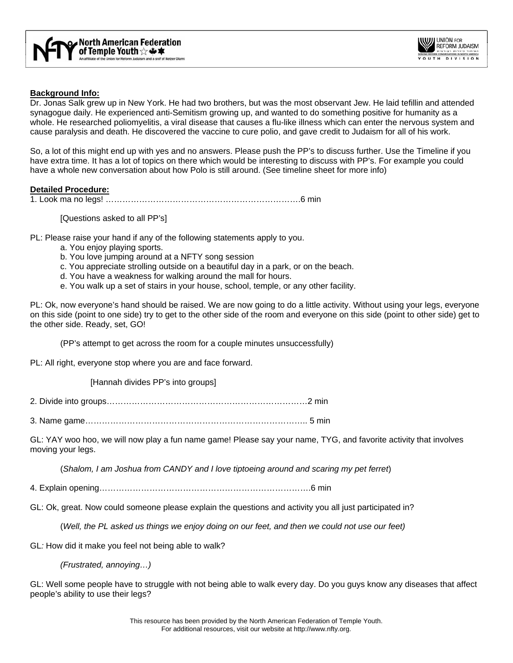



#### **Background Info:**

Dr. Jonas Salk grew up in New York. He had two brothers, but was the most observant Jew. He laid tefillin and attended synagogue daily. He experienced anti-Semitism growing up, and wanted to do something positive for humanity as a whole. He researched poliomyelitis, a viral disease that causes a flu-like illness which can enter the nervous system and cause paralysis and death. He discovered the vaccine to cure polio, and gave credit to Judaism for all of his work.

So, a lot of this might end up with yes and no answers. Please push the PP's to discuss further. Use the Timeline if you have extra time. It has a lot of topics on there which would be interesting to discuss with PP's. For example you could have a whole new conversation about how Polo is still around. (See timeline sheet for more info)

#### **Detailed Procedure:**

1. Look ma no legs! …………………………………………………………….6 min

[Questions asked to all PP's]

PL: Please raise your hand if any of the following statements apply to you.

- a. You enjoy playing sports.
- b. You love jumping around at a NFTY song session
- c. You appreciate strolling outside on a beautiful day in a park, or on the beach.
- d. You have a weakness for walking around the mall for hours.
- e. You walk up a set of stairs in your house, school, temple, or any other facility.

PL: Ok, now everyone's hand should be raised. We are now going to do a little activity. Without using your legs, everyone on this side (point to one side) try to get to the other side of the room and everyone on this side (point to other side) get to the other side. Ready, set, GO!

(PP's attempt to get across the room for a couple minutes unsuccessfully)

PL: All right, everyone stop where you are and face forward.

[Hannah divides PP's into groups]

2. Divide into groups………………………………………………………………2 min

3. Name game…………………………………………………………………….. 5 min

GL: YAY woo hoo, we will now play a fun name game! Please say your name, TYG, and favorite activity that involves moving your legs.

(*Shalom, I am Joshua from CANDY and I love tiptoeing around and scaring my pet ferret*)

4. Explain opening………………………………………………………………….6 min

GL: Ok, great. Now could someone please explain the questions and activity you all just participated in?

(*Well, the PL asked us things we enjoy doing on our feet, and then we could not use our feet)* 

GL*:* How did it make you feel not being able to walk?

 *(Frustrated, annoying…)* 

GL: Well some people have to struggle with not being able to walk every day. Do you guys know any diseases that affect people's ability to use their legs?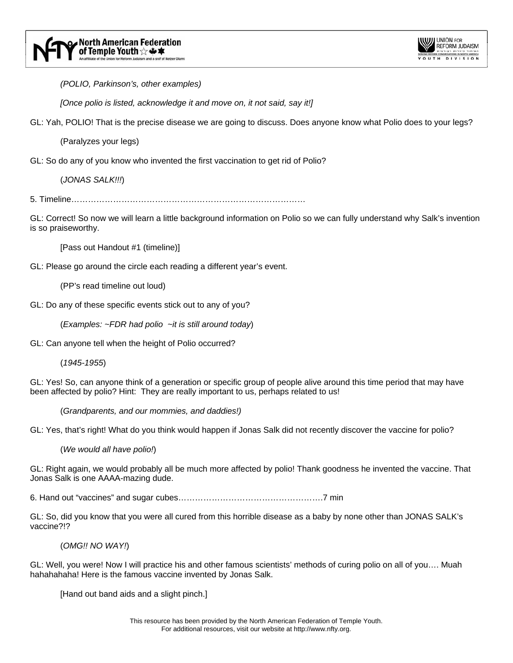

 *(POLIO, Parkinson's, other examples)* 

 *[Once polio is listed, acknowledge it and move on, it not said, say it!]* 

GL: Yah, POLIO! That is the precise disease we are going to discuss. Does anyone know what Polio does to your legs?

(Paralyzes your legs)

GL: So do any of you know who invented the first vaccination to get rid of Polio?

(*JONAS SALK!!!*)

5. Timeline…………………………………………………………………………

GL: Correct! So now we will learn a little background information on Polio so we can fully understand why Salk's invention is so praiseworthy.

[Pass out Handout #1 (timeline)]

GL: Please go around the circle each reading a different year's event.

(PP's read timeline out loud)

GL: Do any of these specific events stick out to any of you?

(*Examples: ~FDR had polio ~it is still around today*)

GL: Can anyone tell when the height of Polio occurred?

(*1945-1955*)

GL: Yes! So, can anyone think of a generation or specific group of people alive around this time period that may have been affected by polio? Hint: They are really important to us, perhaps related to us!

(*Grandparents, and our mommies, and daddies!)*

GL: Yes, that's right! What do you think would happen if Jonas Salk did not recently discover the vaccine for polio?

(*We would all have polio!*)

GL: Right again, we would probably all be much more affected by polio! Thank goodness he invented the vaccine. That Jonas Salk is one AAAA-mazing dude.

6. Hand out "vaccines" and sugar cubes…………………………………………….7 min

GL: So, did you know that you were all cured from this horrible disease as a baby by none other than JONAS SALK's vaccine?!?

(*OMG!! NO WAY!*)

GL: Well, you were! Now I will practice his and other famous scientists' methods of curing polio on all of you…. Muah hahahahaha! Here is the famous vaccine invented by Jonas Salk.

[Hand out band aids and a slight pinch.]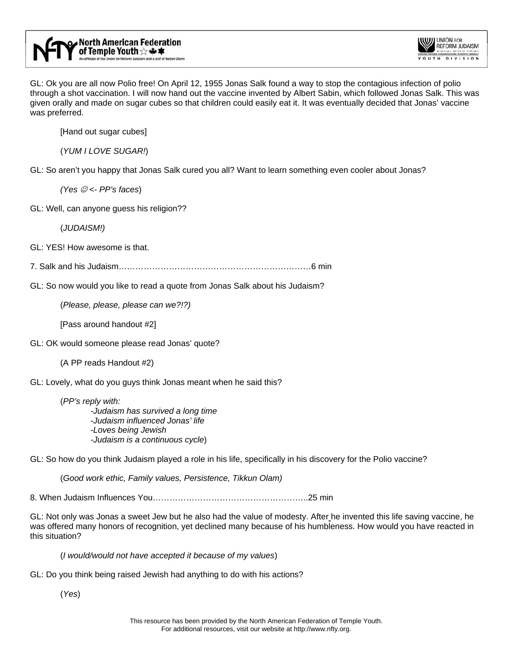

GL: Ok you are all now Polio free! On April 12, 1955 Jonas Salk found a way to stop the contagious infection of polio through a shot vaccination. I will now hand out the vaccine invented by Albert Sabin, which followed Jonas Salk. This was given orally and made on sugar cubes so that children could easily eat it. It was eventually decided that Jonas' vaccine was preferred.

[Hand out sugar cubes]

(*YUM I LOVE SUGAR!*)

GL: So aren't you happy that Jonas Salk cured you all? Want to learn something even cooler about Jonas?

*(Yes* ☺ *<- PP's faces*)

GL: Well, can anyone guess his religion??

(*JUDAISM!)*

GL: YES! How awesome is that.

7. Salk and his Judaism……………………………………………………………6 min

GL: So now would you like to read a quote from Jonas Salk about his Judaism?

(*Please, please, please can we?!?)*

[Pass around handout #2]

GL: OK would someone please read Jonas' quote?

(A PP reads Handout #2)

GL: Lovely, what do you guys think Jonas meant when he said this?

(*PP's reply with: -Judaism has survived a long time -Judaism influenced Jonas' life*  -*Loves being Jewish -Judaism is a continuous cycle*)

GL: So how do you think Judaism played a role in his life, specifically in his discovery for the Polio vaccine?

(*Good work ethic, Family values, Persistence, Tikkun Olam)* 

8. When Judaism Influences You………………………………………………..25 min

GL: Not only was Jonas a sweet Jew but he also had the value of modesty. After he invented this life saving vaccine, he was offered many honors of recognition, yet declined many because of his humbleness. How would you have reacted in this situation?

(*I would/would not have accepted it because of my values*)

GL: Do you think being raised Jewish had anything to do with his actions?

(*Yes*)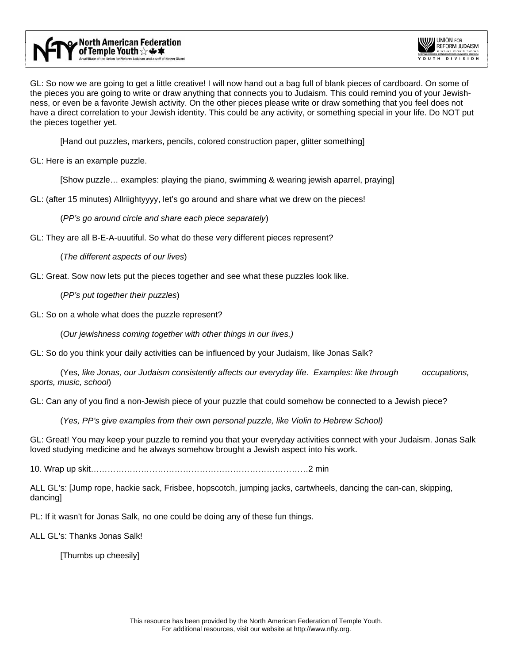

GL: So now we are going to get a little creative! I will now hand out a bag full of blank pieces of cardboard. On some of the pieces you are going to write or draw anything that connects you to Judaism. This could remind you of your Jewishness, or even be a favorite Jewish activity. On the other pieces please write or draw something that you feel does not have a direct correlation to your Jewish identity. This could be any activity, or something special in your life. Do NOT put the pieces together yet.

[Hand out puzzles, markers, pencils, colored construction paper, glitter something]

GL: Here is an example puzzle.

[Show puzzle… examples: playing the piano, swimming & wearing jewish aparrel, praying]

GL: (after 15 minutes) Allriightyyyy, let's go around and share what we drew on the pieces!

(*PP's go around circle and share each piece separately*)

GL: They are all B-E-A-uuutiful. So what do these very different pieces represent?

(*The different aspects of our lives*)

GL: Great. Sow now lets put the pieces together and see what these puzzles look like.

(*PP's put together their puzzles*)

GL: So on a whole what does the puzzle represent?

(*Our jewishness coming together with other things in our lives.)*

GL: So do you think your daily activities can be influenced by your Judaism, like Jonas Salk?

 (Yes*, like Jonas, our Judaism consistently affects our everyday life*. *Examples: like through occupations, sports, music, school*)

GL: Can any of you find a non-Jewish piece of your puzzle that could somehow be connected to a Jewish piece?

(*Yes, PP's give examples from their own personal puzzle, like Violin to Hebrew School)*

GL: Great! You may keep your puzzle to remind you that your everyday activities connect with your Judaism. Jonas Salk loved studying medicine and he always somehow brought a Jewish aspect into his work.

10. Wrap up skit……………………………………………………………………2 min

ALL GL's: [Jump rope, hackie sack, Frisbee, hopscotch, jumping jacks, cartwheels, dancing the can-can, skipping, dancing]

PL: If it wasn't for Jonas Salk, no one could be doing any of these fun things.

ALL GL's: Thanks Jonas Salk!

[Thumbs up cheesily]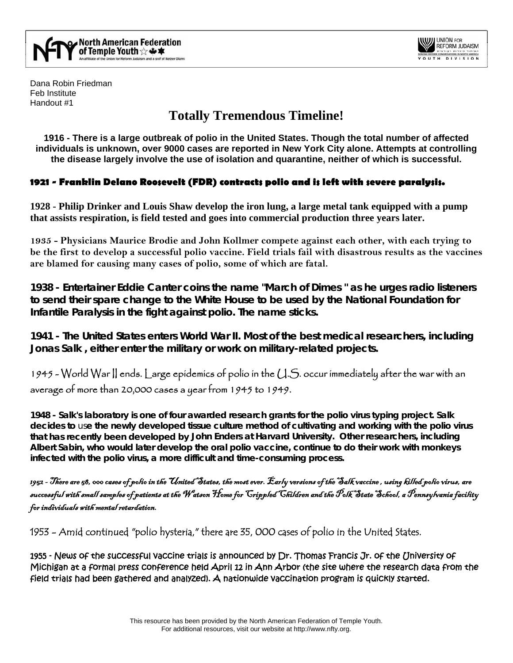



Dana Robin Friedman Feb Institute Handout #1

# **Totally Tremendous Timeline!**

**1916 - There is a large outbreak of polio in the United States. Though the total number of affected individuals is unknown, over 9000 cases are reported in New York City alone. Attempts at controlling the disease largely involve the use of isolation and quarantine, neither of which is successful.**

# **1921 - [Franklin Delano Roosevelt](http://www.feri.org/archives/polio/default.cfm) (FDR) contracts polio and is left with severe paralysis.**

**1928 - [Philip Drinker and Louis Shaw](http://www.cwru.edu/artsci/dittrick/artifactspages/c-7respirator.htm) develop the [iron lung,](http://www.canoe.ca/CNEWSFeatures9908/22_lung.html) a large metal tank equipped with a pump that assists respiration, is field tested and goes into commercial production three years later.**

**1935 - Physicians [Maurice Brodie and John Kollmer](http://www.cloudnet.com/%7Eedrbsass/poliohistory.htm#brodie) compete against each other, with each trying to be the first to develop a successful polio vaccine. Field trials fail with disastrous results as the vaccines are blamed for causing many cases of polio, some of which are fatal.**

**1938 - Entertainer Eddie Canter coins the name ["March of Dimes](http://www.modimes.org/) " as he urges radio listeners to send their spare change to the White House to be used by the National Foundation for Infantile Paralysis in the fight against polio. The name sticks.**

**1941 - The United States enters World War II. Most of the best medical researchers, including [Jonas Salk](http://www.achievement.org/autodoc/page/sal0bio-1) , either enter the military or work on military-related projects.**

1945 - World War II ends. Large epidemics of polio in the U.S. occur immediately after the war with an average of more than 20,000 cases a year from 1945 to 1949.

**1948 - Salk's laboratory is one of four awarded research grants for the polio virus typing project. Salk decides to** us**e the newly developed tissue culture method of cultivating and working with the polio virus that has recently been developed by [John Enders](http://www.hno.harvard.edu/gazette/1998/10.08/JohnEndersBreak.html) at Harvard University. Other researchers, including [Albert Sabin,](http://sabin.uc.edu/biography.ucm) who would later develop the oral polio vaccine, continue to do their work with monkeys infected with the polio virus, a more difficult and time-consuming process.**

1952 - There are 58, 000 cases of polio in the United States, the most ever. Early versions of the [Salk vaccine](http://www.accessexcellence.org/AE/AEC/CC/polio.html) , using killed polio virus, are successful with small samples of patients at the Watson Home for Crippled Children and the Polk State School, a Pennsylvania facility for individuals with mental retardation.

1953 - Amid continued "polio hysteria," there are 35, 000 cases of polio in the United States.

1955 - [News of the successful vaccine trials](http://detnews.com/history/polio/polio.htm) is announced by [Dr. Thomas Francis Jr.](http://www.med.umich.edu/medschool/chm/polioexhibit/francis.htm) of the University of Michigan at a formal press conference held [April 12](http://www.kcstar.com/millennium/part13/stories/1950s.htm) in Ann Arbor (the site where the research data from the field trials had been gathered and analyzed). A nationwide vaccination program is quickly started.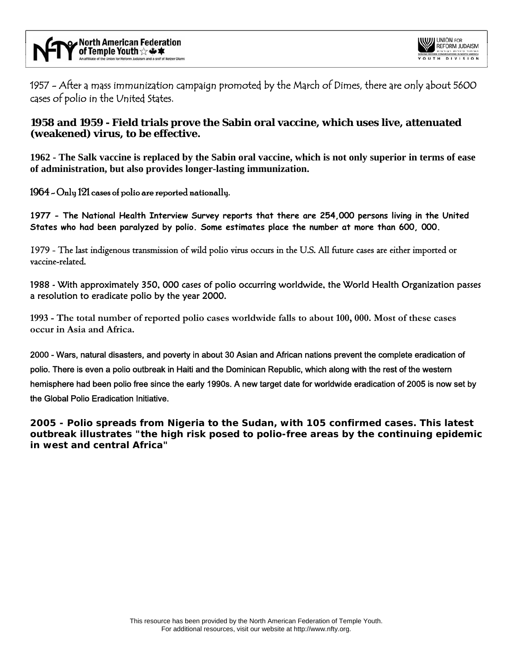

1957 - After a mass immunization campaign promoted by the March of Dimes, there are only about 5600 cases of polio in the United States.

# **1958 and 1959 - Field trials prove the [Sabin](http://sabin.uc.edu/) oral vaccine, which uses live, attenuated (weakened) virus, to be effective.**

**1962 - [The Salk vaccine is replaced by the Sabin oral vaccine,](http://www.ott.zynet.co.uk/polio/lincolnshire/library/bollenbach/biology6.html) which is not only superior in terms of ease of administration, but also provides longer-lasting immunization.**

## 1964 - Only 121 cases of polio are reported nationally.

**1977 - The National Health Interview Survey reports that there are 254,000 persons living in the United States who had been paralyzed by polio. Some estimates place the number at more than 600, 000.**

1979 - The last indigenous transmission of wild polio virus occurs in the U.S. All future cases are either imported or vaccine-related.

1988 - With approximately 350, 000 cases of polio occurring worldwide, the [World Health Organization](http://www.who.int/aboutwho/en/structure.htm) passes a resolution to eradicate polio by the year 2000.

**1993 - The total number of reported polio cases worldwide falls to about 100, 000. Most of these cases occur in Asia and Africa.**

2000 - Wars, natural disasters, and poverty in about 30 Asian and African nations prevent the complete eradication of polio. There is even a polio outbreak in Haiti and the Dominican Republic, which along with the rest of the western hemisphere had been polio free since the early 1990s. A new target date for worldwide eradication of 2005 is now set by the [Global Polio Eradication Initiative.](http://www.polioeradication.org/) 

**2005 - Polio spreads from Nigeria to the Sudan, with 105 confirmed cases. This latest outbreak illustrates "the high risk posed to polio-free areas by the continuing epidemic in west and central Africa"**